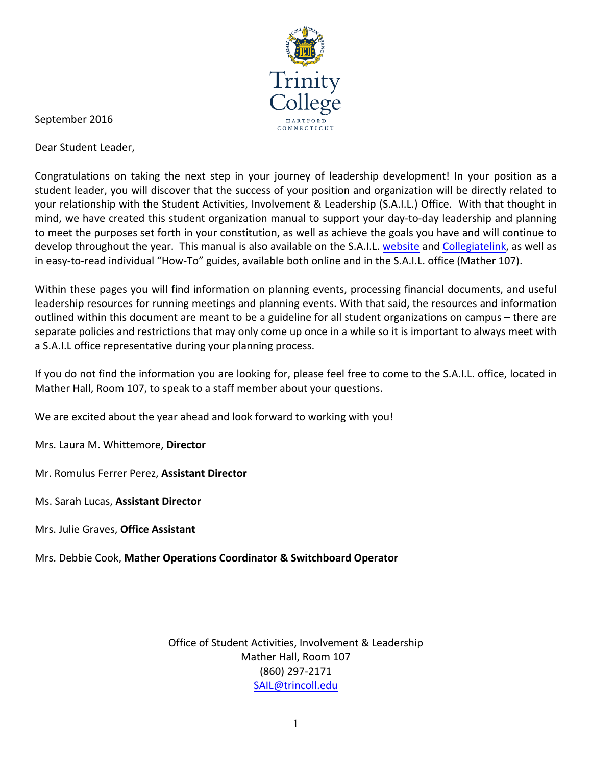

September 2016

Dear Student Leader,

Congratulations on taking the next step in your journey of leadership development! In your position as a student leader, you will discover that the success of your position and organization will be directly related to your relationship with the Student Activities, Involvement & Leadership (S.A.I.L.) Office. With that thought in mind, we have created this student organization manual to support your day-to-day leadership and planning to meet the purposes set forth in your constitution, as well as achieve the goals you have and will continue to develop throughout the year. This manual is also available on the S.A.I.L. website and Collegiatelink, as well as in easy-to-read individual "How-To" guides, available both online and in the S.A.I.L. office (Mather 107).

Within these pages you will find information on planning events, processing financial documents, and useful leadership resources for running meetings and planning events. With that said, the resources and information outlined within this document are meant to be a guideline for all student organizations on campus – there are separate policies and restrictions that may only come up once in a while so it is important to always meet with a S.A.I.L office representative during your planning process.

If you do not find the information you are looking for, please feel free to come to the S.A.I.L. office, located in Mather Hall, Room 107, to speak to a staff member about your questions.

We are excited about the year ahead and look forward to working with you!

Mrs. Laura M. Whittemore, Director

Mr. Romulus Ferrer Perez, Assistant Director

Ms. Sarah Lucas, **Assistant Director**

Mrs. Julie Graves, **Office Assistant**

Mrs. Debbie Cook, Mather Operations Coordinator & Switchboard Operator

Office of Student Activities, Involvement & Leadership Mather Hall, Room 107 (860) 297-2171 SAIL@trincoll.edu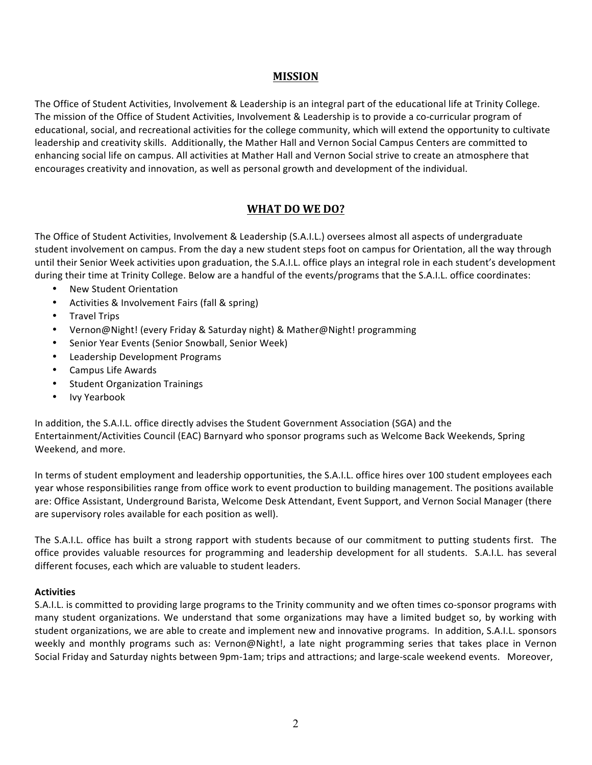# **MISSION**

The Office of Student Activities, Involvement & Leadership is an integral part of the educational life at Trinity College. The mission of the Office of Student Activities, Involvement & Leadership is to provide a co-curricular program of educational, social, and recreational activities for the college community, which will extend the opportunity to cultivate leadership and creativity skills. Additionally, the Mather Hall and Vernon Social Campus Centers are committed to enhancing social life on campus. All activities at Mather Hall and Vernon Social strive to create an atmosphere that encourages creativity and innovation, as well as personal growth and development of the individual.

# WHAT DO WE DO?

The Office of Student Activities, Involvement & Leadership (S.A.I.L.) oversees almost all aspects of undergraduate student involvement on campus. From the day a new student steps foot on campus for Orientation, all the way through until their Senior Week activities upon graduation, the S.A.I.L. office plays an integral role in each student's development during their time at Trinity College. Below are a handful of the events/programs that the S.A.I.L. office coordinates:

- New Student Orientation
- Activities & Involvement Fairs (fall & spring)
- Travel Trips
- Vernon@Night! (every Friday & Saturday night) & Mather@Night! programming
- Senior Year Events (Senior Snowball, Senior Week)
- Leadership Development Programs
- Campus Life Awards
- Student Organization Trainings
- **Ivy Yearbook**

In addition, the S.A.I.L. office directly advises the Student Government Association (SGA) and the Entertainment/Activities Council (EAC) Barnyard who sponsor programs such as Welcome Back Weekends, Spring Weekend, and more.

In terms of student employment and leadership opportunities, the S.A.I.L. office hires over 100 student employees each year whose responsibilities range from office work to event production to building management. The positions available are: Office Assistant, Underground Barista, Welcome Desk Attendant, Event Support, and Vernon Social Manager (there are supervisory roles available for each position as well).

The S.A.I.L. office has built a strong rapport with students because of our commitment to putting students first. The office provides valuable resources for programming and leadership development for all students. S.A.I.L. has several different focuses, each which are valuable to student leaders.

#### **Activities**

S.A.I.L. is committed to providing large programs to the Trinity community and we often times co-sponsor programs with many student organizations. We understand that some organizations may have a limited budget so, by working with student organizations, we are able to create and implement new and innovative programs. In addition, S.A.I.L. sponsors weekly and monthly programs such as: Vernon@Night!, a late night programming series that takes place in Vernon Social Friday and Saturday nights between 9pm-1am; trips and attractions; and large-scale weekend events. Moreover,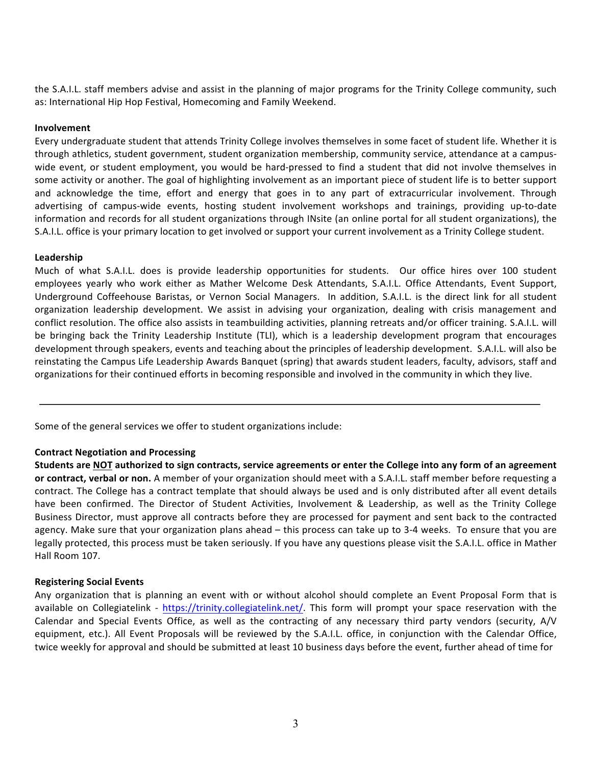the S.A.I.L. staff members advise and assist in the planning of major programs for the Trinity College community, such as: International Hip Hop Festival, Homecoming and Family Weekend.

#### **Involvement**

Every undergraduate student that attends Trinity College involves themselves in some facet of student life. Whether it is through athletics, student government, student organization membership, community service, attendance at a campuswide event, or student employment, you would be hard-pressed to find a student that did not involve themselves in some activity or another. The goal of highlighting involvement as an important piece of student life is to better support and acknowledge the time, effort and energy that goes in to any part of extracurricular involvement. Through advertising of campus-wide events, hosting student involvement workshops and trainings, providing up-to-date information and records for all student organizations through INsite (an online portal for all student organizations), the S.A.I.L. office is your primary location to get involved or support your current involvement as a Trinity College student.

#### **Leadership**

Much of what S.A.I.L. does is provide leadership opportunities for students. Our office hires over 100 student employees yearly who work either as Mather Welcome Desk Attendants, S.A.I.L. Office Attendants, Event Support, Underground Coffeehouse Baristas, or Vernon Social Managers. In addition, S.A.I.L. is the direct link for all student organization leadership development. We assist in advising your organization, dealing with crisis management and conflict resolution. The office also assists in teambuilding activities, planning retreats and/or officer training. S.A.I.L. will be bringing back the Trinity Leadership Institute (TLI), which is a leadership development program that encourages development through speakers, events and teaching about the principles of leadership development. S.A.I.L. will also be reinstating the Campus Life Leadership Awards Banquet (spring) that awards student leaders, faculty, advisors, staff and organizations for their continued efforts in becoming responsible and involved in the community in which they live.

Some of the general services we offer to student organizations include:

#### **Contract Negotiation and Processing**

**Students are NOT** authorized to sign contracts, service agreements or enter the College into any form of an agreement or contract, verbal or non. A member of your organization should meet with a S.A.I.L. staff member before requesting a contract. The College has a contract template that should always be used and is only distributed after all event details have been confirmed. The Director of Student Activities, Involvement & Leadership, as well as the Trinity College Business Director, must approve all contracts before they are processed for payment and sent back to the contracted agency. Make sure that your organization plans ahead – this process can take up to 3-4 weeks. To ensure that you are legally protected, this process must be taken seriously. If you have any questions please visit the S.A.I.L. office in Mather Hall Room 107.

#### **Registering Social Events**

Any organization that is planning an event with or without alcohol should complete an Event Proposal Form that is available on Collegiatelink - https://trinity.collegiatelink.net/. This form will prompt your space reservation with the Calendar and Special Events Office, as well as the contracting of any necessary third party vendors (security, A/V equipment, etc.). All Event Proposals will be reviewed by the S.A.I.L. office, in conjunction with the Calendar Office, twice weekly for approval and should be submitted at least 10 business days before the event, further ahead of time for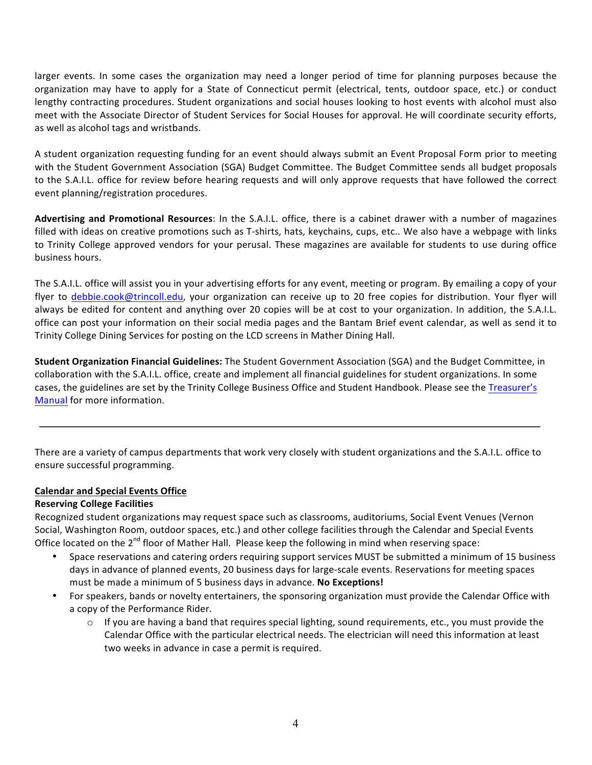larger events. In some cases the organization may need a longer period of time for planning purposes because the organization may have to apply for a State of Connecticut permit (electrical, tents, outdoor space, etc.) or conduct lengthy contracting procedures. Student organizations and social houses looking to host events with alcohol must also meet with the Associate Director of Student Services for Social Houses for approval. He will coordinate security efforts, as well as alcohol tags and wristbands.

A student organization requesting funding for an event should always submit an Event Proposal Form prior to meeting with the Student Government Association (SGA) Budget Committee. The Budget Committee sends all budget proposals to the S.A.I.L. office for review before hearing requests and will only approve requests that have followed the correct event planning/registration procedures.

Advertising and Promotional Resources: In the S.A.I.L. office, there is a cabinet drawer with a number of magazines filled with ideas on creative promotions such as T-shirts, hats, keychains, cups, etc.. We also have a webpage with links to Trinity College approved vendors for your perusal. These magazines are available for students to use during office business hours.

The S.A.I.L. office will assist you in your advertising efforts for any event, meeting or program. By emailing a copy of your flyer to debbie.cook@trincoll.edu, your organization can receive up to 20 free copies for distribution. Your flyer will always be edited for content and anything over 20 copies will be at cost to your organization. In addition, the S.A.I.L. office can post your information on their social media pages and the Bantam Brief event calendar, as well as send it to Trinity College Dining Services for posting on the LCD screens in Mather Dining Hall.

**Student Organization Financial Guidelines:** The Student Government Association (SGA) and the Budget Committee, in collaboration with the S.A.I.L. office, create and implement all financial guidelines for student organizations. In some cases, the guidelines are set by the Trinity College Business Office and Student Handbook. Please see the Treasurer's Manual for more information.

There are a variety of campus departments that work very closely with student organizations and the S.A.I.L. office to ensure successful programming.

# **Calendar and Special Events Office**

#### **Reserving College Facilities**

Recognized student organizations may request space such as classrooms, auditoriums, Social Event Venues (Vernon Social, Washington Room, outdoor spaces, etc.) and other college facilities through the Calendar and Special Events Office located on the 2<sup>nd</sup> floor of Mather Hall. Please keep the following in mind when reserving space:

- Space reservations and catering orders requiring support services MUST be submitted a minimum of 15 business days in advance of planned events, 20 business days for large-scale events. Reservations for meeting spaces must be made a minimum of 5 business days in advance. **No Exceptions!**
- For speakers, bands or novelty entertainers, the sponsoring organization must provide the Calendar Office with a copy of the Performance Rider.
	- $\circ$  If you are having a band that requires special lighting, sound requirements, etc., you must provide the Calendar Office with the particular electrical needs. The electrician will need this information at least two weeks in advance in case a permit is required.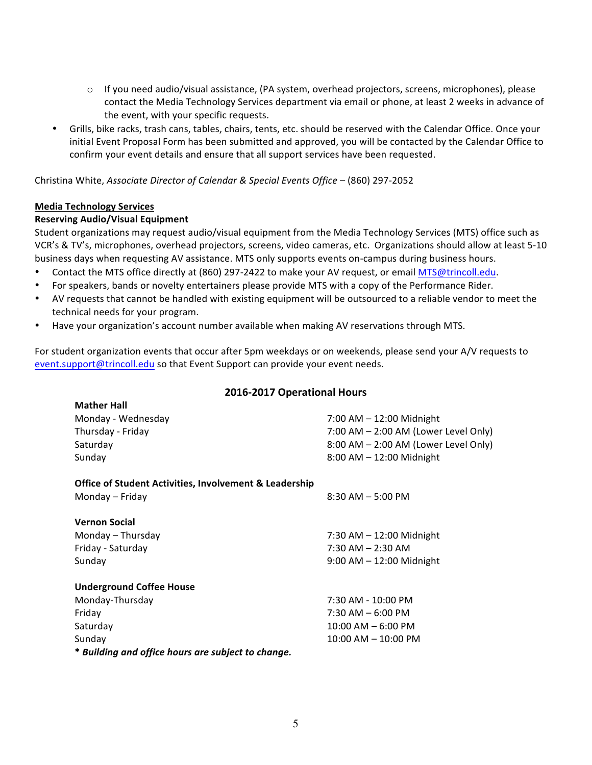- $\circ$  If you need audio/visual assistance, (PA system, overhead projectors, screens, microphones), please contact the Media Technology Services department via email or phone, at least 2 weeks in advance of the event, with your specific requests.
- Grills, bike racks, trash cans, tables, chairs, tents, etc. should be reserved with the Calendar Office. Once your initial Event Proposal Form has been submitted and approved, you will be contacted by the Calendar Office to confirm your event details and ensure that all support services have been requested.

Christina White, *Associate Director of Calendar & Special Events Office* – (860) 297-2052

#### **Media Technology Services**

#### **Reserving Audio/Visual Equipment**

Student organizations may request audio/visual equipment from the Media Technology Services (MTS) office such as VCR's & TV's, microphones, overhead projectors, screens, video cameras, etc. Organizations should allow at least 5-10 business days when requesting AV assistance. MTS only supports events on-campus during business hours.

- Contact the MTS office directly at (860) 297-2422 to make your AV request, or email MTS@trincoll.edu.
- For speakers, bands or novelty entertainers please provide MTS with a copy of the Performance Rider.
- AV requests that cannot be handled with existing equipment will be outsourced to a reliable vendor to meet the technical needs for your program.
- Have your organization's account number available when making AV reservations through MTS.

For student organization events that occur after 5pm weekdays or on weekends, please send your A/V requests to event.support@trincoll.edu so that Event Support can provide your event needs.

#### **2016-2017 Operational Hours**

| <b>Mather Hall</b>                                                |                                      |
|-------------------------------------------------------------------|--------------------------------------|
| Monday - Wednesday                                                | 7:00 AM - 12:00 Midnight             |
| Thursday - Friday                                                 | 7:00 AM - 2:00 AM (Lower Level Only) |
| Saturday                                                          | 8:00 AM - 2:00 AM (Lower Level Only) |
| Sunday                                                            | $8:00$ AM $- 12:00$ Midnight         |
| <b>Office of Student Activities, Involvement &amp; Leadership</b> |                                      |
| Monday – Friday                                                   | $8:30$ AM $-5:00$ PM                 |
| <b>Vernon Social</b>                                              |                                      |
| Monday - Thursday                                                 | 7:30 AM $-$ 12:00 Midnight           |
| Friday - Saturday                                                 | $7:30$ AM $- 2:30$ AM                |
| Sunday                                                            | $9:00$ AM $- 12:00$ Midnight         |
| <b>Underground Coffee House</b>                                   |                                      |
| Monday-Thursday                                                   | 7:30 AM - 10:00 PM                   |
| Friday                                                            | $7:30$ AM $-6:00$ PM                 |
| Saturday                                                          | $10:00$ AM $-6:00$ PM                |
| Sunday                                                            | $10:00$ AM $- 10:00$ PM              |
| * Building and office hours are subject to change.                |                                      |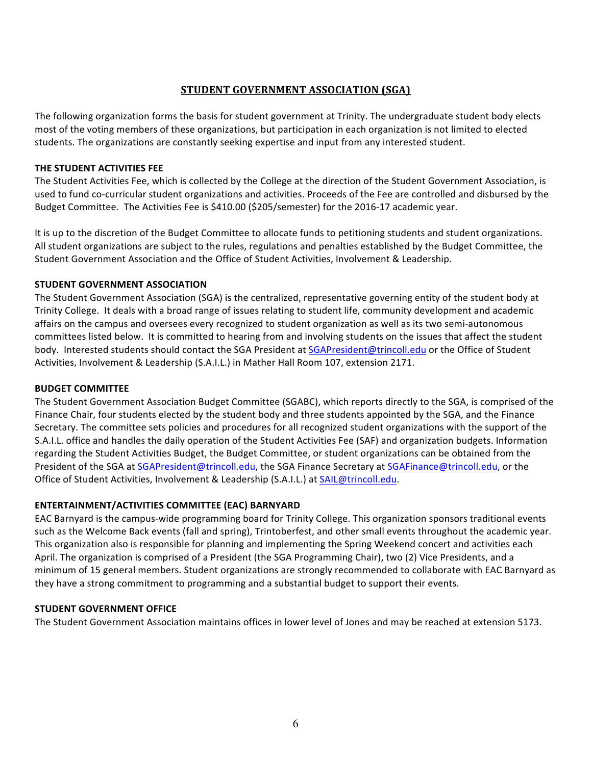# **STUDENT GOVERNMENT ASSOCIATION (SGA)**

The following organization forms the basis for student government at Trinity. The undergraduate student body elects most of the voting members of these organizations, but participation in each organization is not limited to elected students. The organizations are constantly seeking expertise and input from any interested student.

#### **THE STUDENT ACTIVITIES FEE**

The Student Activities Fee, which is collected by the College at the direction of the Student Government Association, is used to fund co-curricular student organizations and activities. Proceeds of the Fee are controlled and disbursed by the Budget Committee. The Activities Fee is \$410.00 (\$205/semester) for the 2016-17 academic year.

It is up to the discretion of the Budget Committee to allocate funds to petitioning students and student organizations. All student organizations are subject to the rules, regulations and penalties established by the Budget Committee, the Student Government Association and the Office of Student Activities, Involvement & Leadership.

## **STUDENT GOVERNMENT ASSOCIATION**

The Student Government Association (SGA) is the centralized, representative governing entity of the student body at Trinity College. It deals with a broad range of issues relating to student life, community development and academic affairs on the campus and oversees every recognized to student organization as well as its two semi-autonomous committees listed below. It is committed to hearing from and involving students on the issues that affect the student body. Interested students should contact the SGA President at SGAPresident@trincoll.edu or the Office of Student Activities, Involvement & Leadership (S.A.I.L.) in Mather Hall Room 107, extension 2171.

## **BUDGET COMMITTEE**

The Student Government Association Budget Committee (SGABC), which reports directly to the SGA, is comprised of the Finance Chair, four students elected by the student body and three students appointed by the SGA, and the Finance Secretary. The committee sets policies and procedures for all recognized student organizations with the support of the S.A.I.L. office and handles the daily operation of the Student Activities Fee (SAF) and organization budgets. Information regarding the Student Activities Budget, the Budget Committee, or student organizations can be obtained from the President of the SGA at SGAPresident@trincoll.edu, the SGA Finance Secretary at SGAFinance@trincoll.edu, or the Office of Student Activities, Involvement & Leadership (S.A.I.L.) at SAIL@trincoll.edu.

# **ENTERTAINMENT/ACTIVITIES COMMITTEE (EAC) BARNYARD**

EAC Barnyard is the campus-wide programming board for Trinity College. This organization sponsors traditional events such as the Welcome Back events (fall and spring), Trintoberfest, and other small events throughout the academic year. This organization also is responsible for planning and implementing the Spring Weekend concert and activities each April. The organization is comprised of a President (the SGA Programming Chair), two (2) Vice Presidents, and a minimum of 15 general members. Student organizations are strongly recommended to collaborate with EAC Barnyard as they have a strong commitment to programming and a substantial budget to support their events.

#### **STUDENT GOVERNMENT OFFICE**

The Student Government Association maintains offices in lower level of Jones and may be reached at extension 5173.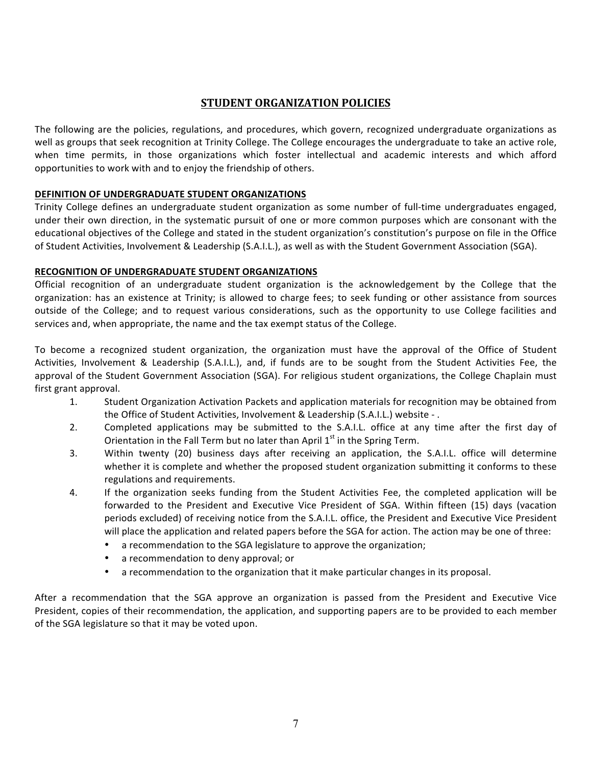# **STUDENT ORGANIZATION POLICIES**

The following are the policies, regulations, and procedures, which govern, recognized undergraduate organizations as well as groups that seek recognition at Trinity College. The College encourages the undergraduate to take an active role, when time permits, in those organizations which foster intellectual and academic interests and which afford opportunities to work with and to enjoy the friendship of others.

# **DEFINITION OF UNDERGRADUATE STUDENT ORGANIZATIONS**

Trinity College defines an undergraduate student organization as some number of full-time undergraduates engaged, under their own direction, in the systematic pursuit of one or more common purposes which are consonant with the educational objectives of the College and stated in the student organization's constitution's purpose on file in the Office of Student Activities, Involvement & Leadership (S.A.I.L.), as well as with the Student Government Association (SGA).

## **RECOGNITION OF UNDERGRADUATE STUDENT ORGANIZATIONS**

Official recognition of an undergraduate student organization is the acknowledgement by the College that the organization: has an existence at Trinity; is allowed to charge fees; to seek funding or other assistance from sources outside of the College; and to request various considerations, such as the opportunity to use College facilities and services and, when appropriate, the name and the tax exempt status of the College.

To become a recognized student organization, the organization must have the approval of the Office of Student Activities, Involvement & Leadership (S.A.I.L.), and, if funds are to be sought from the Student Activities Fee, the approval of the Student Government Association (SGA). For religious student organizations, the College Chaplain must first grant approval.

- 1. Student Organization Activation Packets and application materials for recognition may be obtained from the Office of Student Activities, Involvement & Leadership (S.A.I.L.) website - .
- 2. Completed applications may be submitted to the S.A.I.L. office at any time after the first day of Orientation in the Fall Term but no later than April  $1<sup>st</sup>$  in the Spring Term.
- 3. Within twenty (20) business days after receiving an application, the S.A.I.L. office will determine whether it is complete and whether the proposed student organization submitting it conforms to these regulations and requirements.
- 4. If the organization seeks funding from the Student Activities Fee, the completed application will be forwarded to the President and Executive Vice President of SGA. Within fifteen (15) days (vacation periods excluded) of receiving notice from the S.A.I.L. office, the President and Executive Vice President will place the application and related papers before the SGA for action. The action may be one of three:
	- a recommendation to the SGA legislature to approve the organization;
	- a recommendation to deny approval; or
	- a recommendation to the organization that it make particular changes in its proposal.

After a recommendation that the SGA approve an organization is passed from the President and Executive Vice President, copies of their recommendation, the application, and supporting papers are to be provided to each member of the SGA legislature so that it may be voted upon.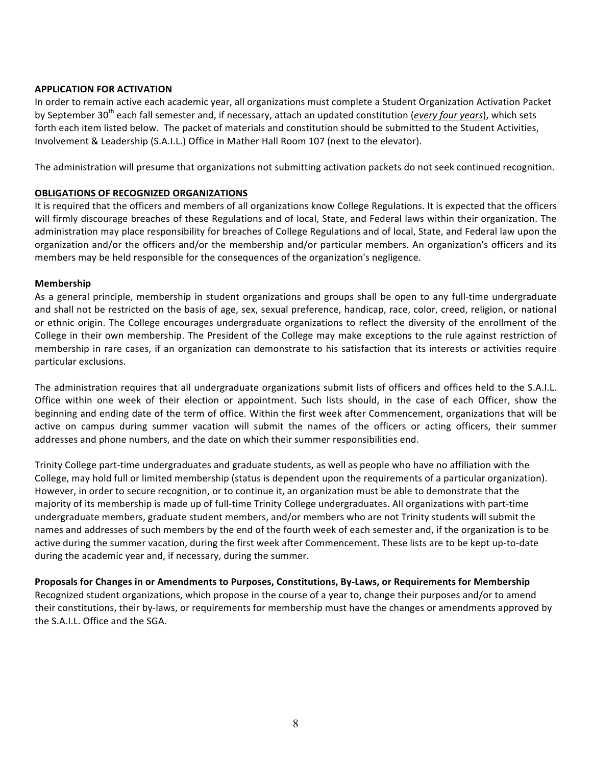#### **APPLICATION FOR ACTIVATION**

In order to remain active each academic year, all organizations must complete a Student Organization Activation Packet by September 30<sup>th</sup> each fall semester and, if necessary, attach an updated constitution (*every four years*), which sets forth each item listed below. The packet of materials and constitution should be submitted to the Student Activities, Involvement & Leadership (S.A.I.L.) Office in Mather Hall Room 107 (next to the elevator).

The administration will presume that organizations not submitting activation packets do not seek continued recognition.

#### **OBLIGATIONS OF RECOGNIZED ORGANIZATIONS**

It is required that the officers and members of all organizations know College Regulations. It is expected that the officers will firmly discourage breaches of these Regulations and of local, State, and Federal laws within their organization. The administration may place responsibility for breaches of College Regulations and of local, State, and Federal law upon the organization and/or the officers and/or the membership and/or particular members. An organization's officers and its members may be held responsible for the consequences of the organization's negligence.

#### **Membership**

As a general principle, membership in student organizations and groups shall be open to any full-time undergraduate and shall not be restricted on the basis of age, sex, sexual preference, handicap, race, color, creed, religion, or national or ethnic origin. The College encourages undergraduate organizations to reflect the diversity of the enrollment of the College in their own membership. The President of the College may make exceptions to the rule against restriction of membership in rare cases, if an organization can demonstrate to his satisfaction that its interests or activities require particular exclusions.

The administration requires that all undergraduate organizations submit lists of officers and offices held to the S.A.I.L. Office within one week of their election or appointment. Such lists should, in the case of each Officer, show the beginning and ending date of the term of office. Within the first week after Commencement, organizations that will be active on campus during summer vacation will submit the names of the officers or acting officers, their summer addresses and phone numbers, and the date on which their summer responsibilities end.

Trinity College part-time undergraduates and graduate students, as well as people who have no affiliation with the College, may hold full or limited membership (status is dependent upon the requirements of a particular organization). However, in order to secure recognition, or to continue it, an organization must be able to demonstrate that the majority of its membership is made up of full-time Trinity College undergraduates. All organizations with part-time undergraduate members, graduate student members, and/or members who are not Trinity students will submit the names and addresses of such members by the end of the fourth week of each semester and, if the organization is to be active during the summer vacation, during the first week after Commencement. These lists are to be kept up-to-date during the academic year and, if necessary, during the summer.

Proposals for Changes in or Amendments to Purposes, Constitutions, By-Laws, or Requirements for Membership Recognized student organizations, which propose in the course of a year to, change their purposes and/or to amend their constitutions, their by-laws, or requirements for membership must have the changes or amendments approved by the S.A.I.L. Office and the SGA.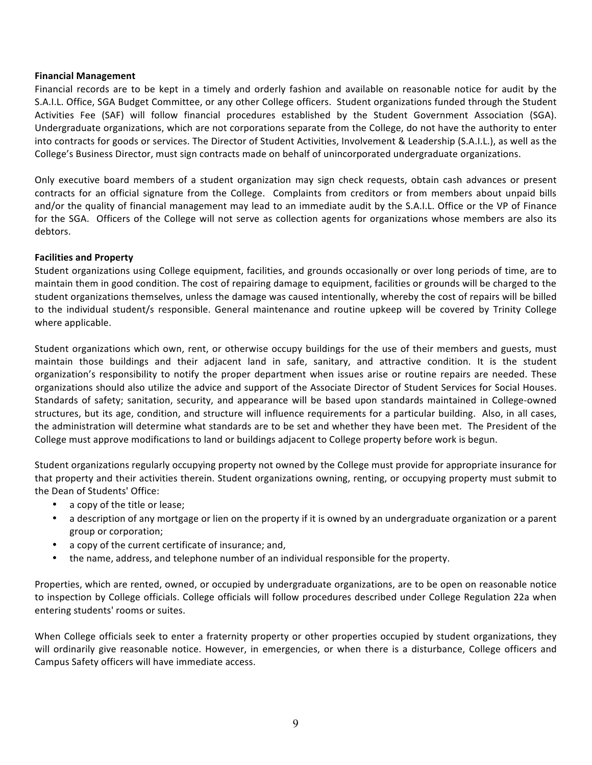#### **Financial Management**

Financial records are to be kept in a timely and orderly fashion and available on reasonable notice for audit by the S.A.I.L. Office, SGA Budget Committee, or any other College officers. Student organizations funded through the Student Activities Fee (SAF) will follow financial procedures established by the Student Government Association (SGA). Undergraduate organizations, which are not corporations separate from the College, do not have the authority to enter into contracts for goods or services. The Director of Student Activities, Involvement & Leadership (S.A.I.L.), as well as the College's Business Director, must sign contracts made on behalf of unincorporated undergraduate organizations.

Only executive board members of a student organization may sign check requests, obtain cash advances or present contracts for an official signature from the College. Complaints from creditors or from members about unpaid bills and/or the quality of financial management may lead to an immediate audit by the S.A.I.L. Office or the VP of Finance for the SGA. Officers of the College will not serve as collection agents for organizations whose members are also its debtors.

#### **Facilities and Property**

Student organizations using College equipment, facilities, and grounds occasionally or over long periods of time, are to maintain them in good condition. The cost of repairing damage to equipment, facilities or grounds will be charged to the student organizations themselves, unless the damage was caused intentionally, whereby the cost of repairs will be billed to the individual student/s responsible. General maintenance and routine upkeep will be covered by Trinity College where applicable.

Student organizations which own, rent, or otherwise occupy buildings for the use of their members and guests, must maintain those buildings and their adjacent land in safe, sanitary, and attractive condition. It is the student organization's responsibility to notify the proper department when issues arise or routine repairs are needed. These organizations should also utilize the advice and support of the Associate Director of Student Services for Social Houses. Standards of safety; sanitation, security, and appearance will be based upon standards maintained in College-owned structures, but its age, condition, and structure will influence requirements for a particular building. Also, in all cases, the administration will determine what standards are to be set and whether they have been met. The President of the College must approve modifications to land or buildings adjacent to College property before work is begun.

Student organizations regularly occupying property not owned by the College must provide for appropriate insurance for that property and their activities therein. Student organizations owning, renting, or occupying property must submit to the Dean of Students' Office:

- a copy of the title or lease;
- a description of any mortgage or lien on the property if it is owned by an undergraduate organization or a parent group or corporation;
- a copy of the current certificate of insurance; and,
- the name, address, and telephone number of an individual responsible for the property.

Properties, which are rented, owned, or occupied by undergraduate organizations, are to be open on reasonable notice to inspection by College officials. College officials will follow procedures described under College Regulation 22a when entering students' rooms or suites.

When College officials seek to enter a fraternity property or other properties occupied by student organizations, they will ordinarily give reasonable notice. However, in emergencies, or when there is a disturbance, College officers and Campus Safety officers will have immediate access.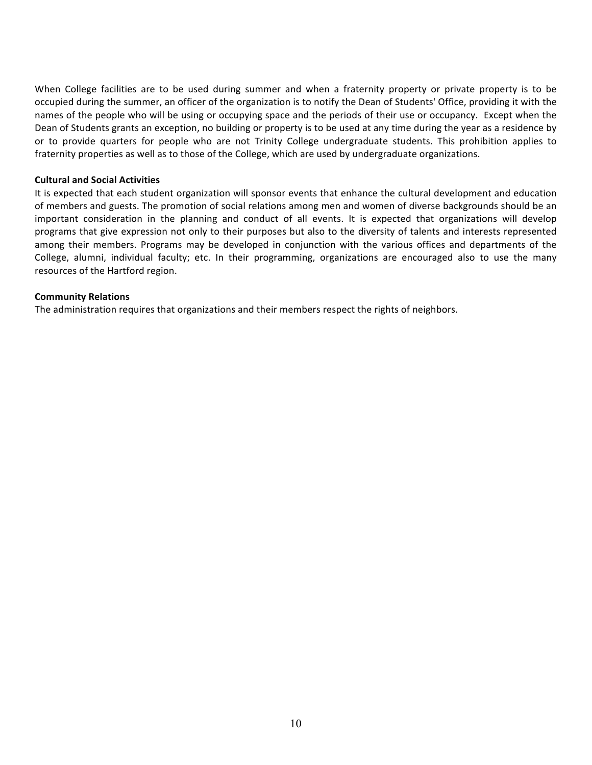When College facilities are to be used during summer and when a fraternity property or private property is to be occupied during the summer, an officer of the organization is to notify the Dean of Students' Office, providing it with the names of the people who will be using or occupying space and the periods of their use or occupancy. Except when the Dean of Students grants an exception, no building or property is to be used at any time during the year as a residence by or to provide quarters for people who are not Trinity College undergraduate students. This prohibition applies to fraternity properties as well as to those of the College, which are used by undergraduate organizations.

#### **Cultural and Social Activities**

It is expected that each student organization will sponsor events that enhance the cultural development and education of members and guests. The promotion of social relations among men and women of diverse backgrounds should be an important consideration in the planning and conduct of all events. It is expected that organizations will develop programs that give expression not only to their purposes but also to the diversity of talents and interests represented among their members. Programs may be developed in conjunction with the various offices and departments of the College, alumni, individual faculty; etc. In their programming, organizations are encouraged also to use the many resources of the Hartford region.

#### **Community Relations**

The administration requires that organizations and their members respect the rights of neighbors.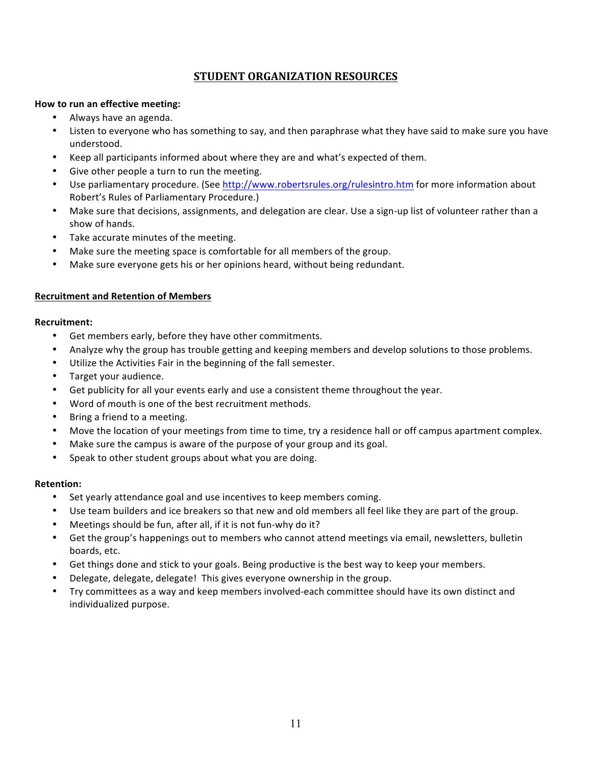# **STUDENT ORGANIZATION RESOURCES**

#### **How to run an effective meeting:**

- Always have an agenda.
- Listen to everyone who has something to say, and then paraphrase what they have said to make sure you have understood.
- Keep all participants informed about where they are and what's expected of them.
- Give other people a turn to run the meeting.
- Use parliamentary procedure. (See http://www.robertsrules.org/rulesintro.htm for more information about Robert's Rules of Parliamentary Procedure.)
- Make sure that decisions, assignments, and delegation are clear. Use a sign-up list of volunteer rather than a show of hands.
- Take accurate minutes of the meeting.
- Make sure the meeting space is comfortable for all members of the group.
- Make sure everyone gets his or her opinions heard, without being redundant.

#### **Recruitment and Retention of Members**

#### **Recruitment:**

- Get members early, before they have other commitments.
- Analyze why the group has trouble getting and keeping members and develop solutions to those problems.
- Utilize the Activities Fair in the beginning of the fall semester.
- Target your audience.
- Get publicity for all your events early and use a consistent theme throughout the year.
- Word of mouth is one of the best recruitment methods.
- Bring a friend to a meeting.
- Move the location of your meetings from time to time, try a residence hall or off campus apartment complex.
- Make sure the campus is aware of the purpose of your group and its goal.
- Speak to other student groups about what you are doing.

#### **Retention:**

- Set yearly attendance goal and use incentives to keep members coming.
- Use team builders and ice breakers so that new and old members all feel like they are part of the group.
- Meetings should be fun, after all, if it is not fun-why do it?
- Get the group's happenings out to members who cannot attend meetings via email, newsletters, bulletin boards, etc.
- Get things done and stick to your goals. Being productive is the best way to keep your members.
- Delegate, delegate, delegate! This gives everyone ownership in the group.
- Try committees as a way and keep members involved-each committee should have its own distinct and individualized purpose.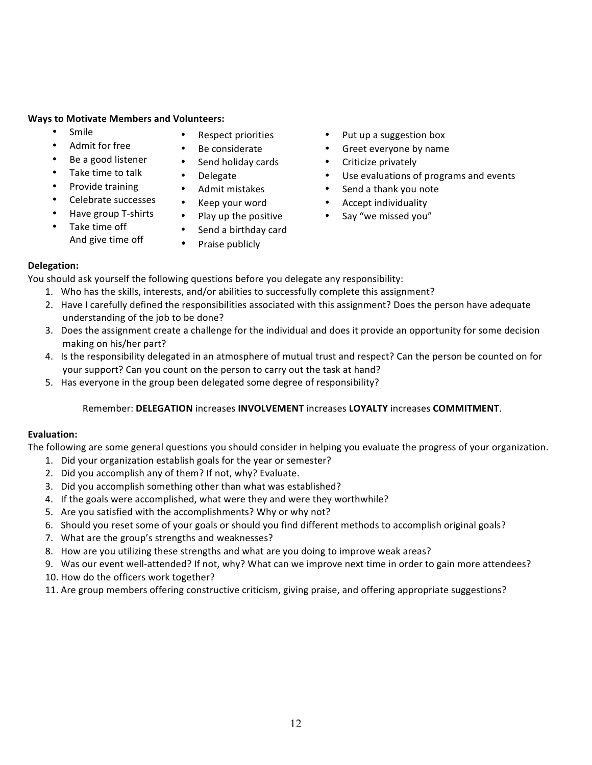#### **Ways to Motivate Members and Volunteers:**

- Smile
- Admit for free
- Be a good listener
- Take time to talk
- Provide training
	- Celebrate successes
- Have group T-shirts
- Take time off
- And give time off
- Respect priorities
- Be considerate
- Send holiday cards
- Delegate
- Admit mistakes
- Keep your word
- Play up the positive
- Send a birthday card
- Praise publicly
- Put up a suggestion box
- Greet everyone by name
- Criticize privately
- Use evaluations of programs and events
- Send a thank you note
- Accept individuality
- Say "we missed you"

## **Delegation:**

You should ask yourself the following questions before you delegate any responsibility:

- 1. Who has the skills, interests, and/or abilities to successfully complete this assignment?
- 2. Have I carefully defined the responsibilities associated with this assignment? Does the person have adequate understanding of the job to be done?
- 3. Does the assignment create a challenge for the individual and does it provide an opportunity for some decision making on his/her part?
- 4. Is the responsibility delegated in an atmosphere of mutual trust and respect? Can the person be counted on for your support? Can you count on the person to carry out the task at hand?
- 5. Has everyone in the group been delegated some degree of responsibility?

# Remember: **DELEGATION** increases **INVOLVEMENT** increases **LOYALTY** increases **COMMITMENT**.

# **Evaluation:**

The following are some general questions you should consider in helping you evaluate the progress of your organization.

- 1. Did your organization establish goals for the year or semester?
- 2. Did you accomplish any of them? If not, why? Evaluate.
- 3. Did you accomplish something other than what was established?
- 4. If the goals were accomplished, what were they and were they worthwhile?
- 5. Are you satisfied with the accomplishments? Why or why not?
- 6. Should you reset some of your goals or should you find different methods to accomplish original goals?
- 7. What are the group's strengths and weaknesses?
- 8. How are you utilizing these strengths and what are you doing to improve weak areas?
- 9. Was our event well-attended? If not, why? What can we improve next time in order to gain more attendees?
- 10. How do the officers work together?
- 11. Are group members offering constructive criticism, giving praise, and offering appropriate suggestions?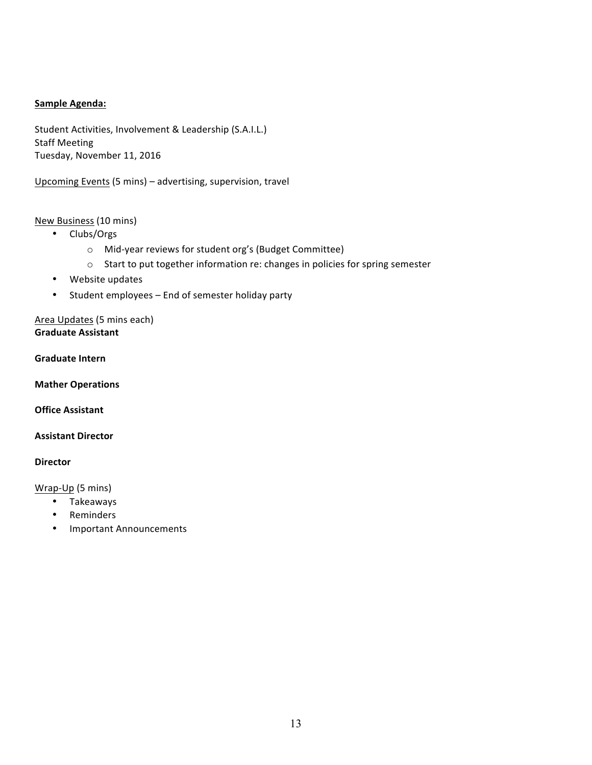## **Sample Agenda:**

Student Activities, Involvement & Leadership (S.A.I.L.) **Staff Meeting** Tuesday, November 11, 2016

Upcoming Events (5 mins) – advertising, supervision, travel

# New Business (10 mins)

- Clubs/Orgs
	- o Mid-year reviews for student org's (Budget Committee)
	- o Start to put together information re: changes in policies for spring semester
- Website updates
- Student employees End of semester holiday party

Area Updates (5 mins each) **Graduate Assistant**

**Graduate Intern** 

**Mather Operations**

**Office Assistant** 

**Assistant Director**

#### **Director**

Wrap-Up (5 mins)

- Takeaways
- Reminders
- Important Announcements